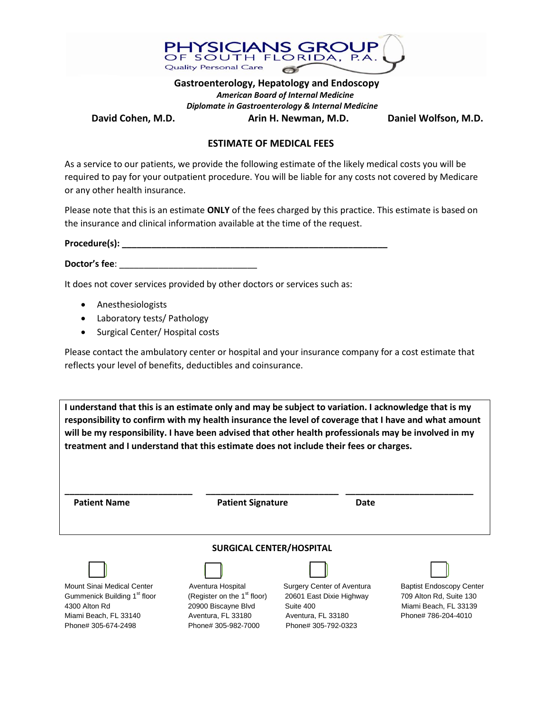

 **Gastroenterology, Hepatology and Endoscopy** *American Board of Internal Medicine Diplomate in Gastroenterology & Internal Medicine* David Cohen, M.D. **Arin H. Newman, M.D.** Daniel Wolfson, M.D.

## **ESTIMATE OF MEDICAL FEES**

As a service to our patients, we provide the following estimate of the likely medical costs you will be required to pay for your outpatient procedure. You will be liable for any costs not covered by Medicare or any other health insurance.

Please note that this is an estimate **ONLY** of the fees charged by this practice. This estimate is based on the insurance and clinical information available at the time of the request.

| Procedure(s): |  |
|---------------|--|
|               |  |
|               |  |

**Doctor's fee**: \_\_\_\_\_\_\_\_\_\_\_\_\_\_\_\_\_\_\_\_\_\_\_\_\_\_\_\_

It does not cover services provided by other doctors or services such as:

- Anesthesiologists
- Laboratory tests/ Pathology
- Surgical Center/ Hospital costs

Please contact the ambulatory center or hospital and your insurance company for a cost estimate that reflects your level of benefits, deductibles and coinsurance.

**I understand that this is an estimate only and may be subject to variation. I acknowledge that is my responsibility to confirm with my health insurance the level of coverage that I have and what amount will be my responsibility. I have been advised that other health professionals may be involved in my treatment and I understand that this estimate does not include their fees or charges.**

| <b>Patient Name</b>                      | <b>Patient Signature</b>                | Date                       |                                 |
|------------------------------------------|-----------------------------------------|----------------------------|---------------------------------|
|                                          | <b>SURGICAL CENTER/HOSPITAL</b>         |                            |                                 |
|                                          |                                         |                            |                                 |
| Mount Sinai Medical Center               | Aventura Hospital                       | Surgery Center of Aventura | <b>Baptist Endoscopy Center</b> |
| Gummenick Building 1 <sup>st</sup> floor | (Register on the 1 <sup>st</sup> floor) | 20601 East Dixie Highway   | 709 Alton Rd, Suite 130         |
| 4300 Alton Rd                            | 20900 Biscayne Blvd                     | Suite 400                  | Miami Beach, FL 33139           |
| Miami Beach, FL 33140                    | Aventura, FL 33180                      | Aventura, FL 33180         | Phone# 786-204-4010             |
| Phone# 305-674-2498                      | Phone# 305-982-7000                     | Phone# 305-792-0323        |                                 |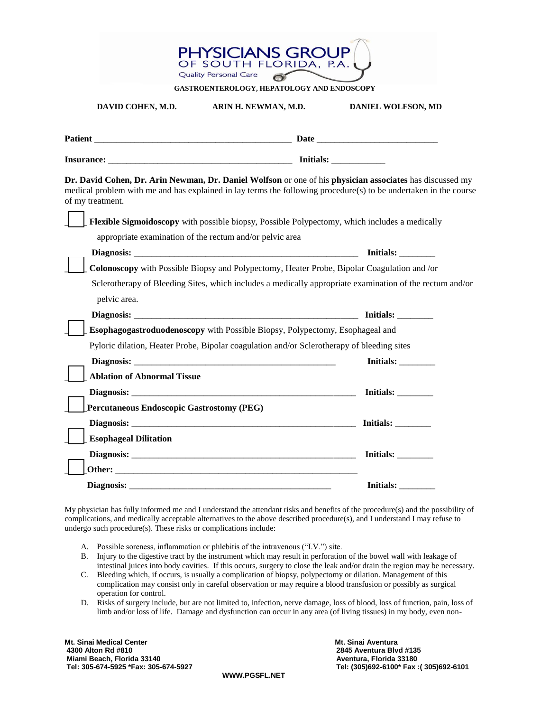| PHYSICIANS GROUP<br>OF SOUTH FLORIDA, P.A.<br><b>Quality Personal Care</b> |                                                                                                                                                                                                                                |                                                                                                                                                                                                                              |  |
|----------------------------------------------------------------------------|--------------------------------------------------------------------------------------------------------------------------------------------------------------------------------------------------------------------------------|------------------------------------------------------------------------------------------------------------------------------------------------------------------------------------------------------------------------------|--|
|                                                                            | GASTROENTEROLOGY, HEPATOLOGY AND ENDOSCOPY                                                                                                                                                                                     |                                                                                                                                                                                                                              |  |
| DAVID COHEN, M.D.                                                          | ARIN H. NEWMAN, M.D.                                                                                                                                                                                                           | DANIEL WOLFSON, MD                                                                                                                                                                                                           |  |
|                                                                            |                                                                                                                                                                                                                                |                                                                                                                                                                                                                              |  |
|                                                                            | Insurance: Insurance: Initials:                                                                                                                                                                                                |                                                                                                                                                                                                                              |  |
| of my treatment.                                                           |                                                                                                                                                                                                                                | Dr. David Cohen, Dr. Arin Newman, Dr. Daniel Wolfson or one of his physician associates has discussed my<br>medical problem with me and has explained in lay terms the following procedure(s) to be undertaken in the course |  |
|                                                                            | Flexible Sigmoidoscopy with possible biopsy, Possible Polypectomy, which includes a medically                                                                                                                                  |                                                                                                                                                                                                                              |  |
|                                                                            | appropriate examination of the rectum and/or pelvic area                                                                                                                                                                       |                                                                                                                                                                                                                              |  |
|                                                                            |                                                                                                                                                                                                                                | $Initials: \_\_$                                                                                                                                                                                                             |  |
|                                                                            | Colonoscopy with Possible Biopsy and Polypectomy, Heater Probe, Bipolar Coagulation and /or                                                                                                                                    |                                                                                                                                                                                                                              |  |
|                                                                            |                                                                                                                                                                                                                                | Sclerotherapy of Bleeding Sites, which includes a medically appropriate examination of the rectum and/or                                                                                                                     |  |
| pelvic area.                                                               |                                                                                                                                                                                                                                | Initials:                                                                                                                                                                                                                    |  |
|                                                                            | Esophagogastroduodenoscopy with Possible Biopsy, Polypectomy, Esophageal and                                                                                                                                                   |                                                                                                                                                                                                                              |  |
|                                                                            | Pyloric dilation, Heater Probe, Bipolar coagulation and/or Sclerotherapy of bleeding sites                                                                                                                                     |                                                                                                                                                                                                                              |  |
|                                                                            |                                                                                                                                                                                                                                | Initials:                                                                                                                                                                                                                    |  |
| <b>Ablation of Abnormal Tissue</b>                                         |                                                                                                                                                                                                                                |                                                                                                                                                                                                                              |  |
|                                                                            | Diagnosis: the contract of the contract of the contract of the contract of the contract of the contract of the contract of the contract of the contract of the contract of the contract of the contract of the contract of the | Initials:                                                                                                                                                                                                                    |  |
| <b>Percutaneous Endoscopic Gastrostomy (PEG)</b>                           |                                                                                                                                                                                                                                |                                                                                                                                                                                                                              |  |
|                                                                            |                                                                                                                                                                                                                                | Initials:                                                                                                                                                                                                                    |  |
| <b>Esophageal Dilitation</b>                                               |                                                                                                                                                                                                                                |                                                                                                                                                                                                                              |  |
|                                                                            |                                                                                                                                                                                                                                | <b>Initials:</b>                                                                                                                                                                                                             |  |
|                                                                            |                                                                                                                                                                                                                                |                                                                                                                                                                                                                              |  |
|                                                                            | Diagnosis:                                                                                                                                                                                                                     | Initials:                                                                                                                                                                                                                    |  |

My physician has fully informed me and I understand the attendant risks and benefits of the procedure(s) and the possibility of complications, and medically acceptable alternatives to the above described procedure(s), and I understand I may refuse to undergo such procedure(s). These risks or complications include:

- A. Possible soreness, inflammation or phlebitis of the intravenous ("I.V.") site.
- B. Injury to the digestive tract by the instrument which may result in perforation of the bowel wall with leakage of intestinal juices into body cavities. If this occurs, surgery to close the leak and/or drain the region may be necessary.
- C. Bleeding which, if occurs, is usually a complication of biopsy, polypectomy or dilation. Management of this complication may consist only in careful observation or may require a blood transfusion or possibly as surgical operation for control.
- D. Risks of surgery include, but are not limited to, infection, nerve damage, loss of blood, loss of function, pain, loss of limb and/or loss of life. Damage and dysfunction can occur in any area (of living tissues) in my body, even non-

Mt. Sinai Medical Center السابقة المستخدمة المستخدمة المستخدمة المستخدمة المستخدمة المستخدمة المستخدمة المستخدمة<br>2845 Aventura Blv Miami Beach, Florida 33140<br>Tel: 305-674-5925 \*Fax: 305-674-5927

**4300 Alton Rd #810 2845 Aventura Blvd #135 Tel: 305-674-5925 \*Fax: 305-674-5927 Tel: (305)692-6100\* Fax :( 305)692-6101** 

**WWW.PGSFL.NET**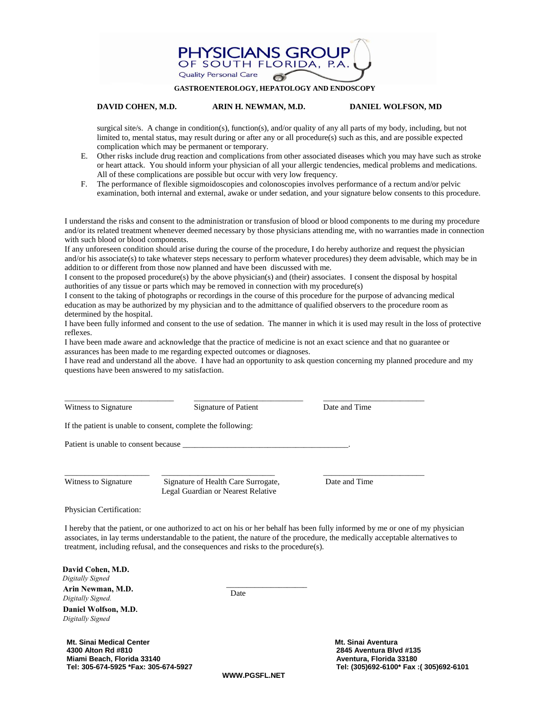

### **GASTROENTEROLOGY, HEPATOLOGY AND ENDOSCOPY**

## **DAVID COHEN, M.D. ARIN H. NEWMAN, M.D. DANIEL WOLFSON, MD**

surgical site/s. A change in condition(s), function(s), and/or quality of any all parts of my body, including, but not limited to, mental status, may result during or after any or all procedure(s) such as this, and are possible expected complication which may be permanent or temporary.

- E. Other risks include drug reaction and complications from other associated diseases which you may have such as stroke or heart attack. You should inform your physician of all your allergic tendencies, medical problems and medications. All of these complications are possible but occur with very low frequency.
- F. The performance of flexible sigmoidoscopies and colonoscopies involves performance of a rectum and/or pelvic examination, both internal and external, awake or under sedation, and your signature below consents to this procedure.

I understand the risks and consent to the administration or transfusion of blood or blood components to me during my procedure and/or its related treatment whenever deemed necessary by those physicians attending me, with no warranties made in connection with such blood or blood components.

If any unforeseen condition should arise during the course of the procedure, I do hereby authorize and request the physician and/or his associate(s) to take whatever steps necessary to perform whatever procedures) they deem advisable, which may be in addition to or different from those now planned and have been discussed with me.

I consent to the proposed procedure(s) by the above physician(s) and (their) associates. I consent the disposal by hospital authorities of any tissue or parts which may be removed in connection with my procedure(s)

I consent to the taking of photographs or recordings in the course of this procedure for the purpose of advancing medical education as may be authorized by my physician and to the admittance of qualified observers to the procedure room as determined by the hospital.

I have been fully informed and consent to the use of sedation. The manner in which it is used may result in the loss of protective reflexes.

I have been made aware and acknowledge that the practice of medicine is not an exact science and that no guarantee or assurances has been made to me regarding expected outcomes or diagnoses.

I have read and understand all the above. I have had an opportunity to ask question concerning my planned procedure and my questions have been answered to my satisfaction.

| Witness to Signature | Signature of Patient                                         | Date and Time |
|----------------------|--------------------------------------------------------------|---------------|
|                      | If the patient is unable to consent, complete the following: |               |
|                      | Patient is unable to consent because                         |               |
|                      |                                                              |               |
| Witness to Signature | Signature of Health Care Surrogate.                          | Date and Time |

Legal Guardian or Nearest Relative

Physician Certification:

I hereby that the patient, or one authorized to act on his or her behalf has been fully informed by me or one of my physician associates, in lay terms understandable to the patient, the nature of the procedure, the medically acceptable alternatives to treatment, including refusal, and the consequences and risks to the procedure(s).

\_\_\_\_\_\_\_\_\_\_\_\_\_\_\_\_\_\_\_\_

| David Cohen, M.D. |  |
|-------------------|--|
| Digitally Signed  |  |
| Arin Nowman M D   |  |

Arin Newman, M.D. **Contract Contract Contract Contract Contract Contract Contract Contract Contract Contract Contract Contract Contract Contract Contract Contract Contract Contract Contract Contract Contract Contract Contr** *Digitally Signed.*

**Daniel Wolfson, M.D.** *Digitally Signed*

**Mt. Sinai Medical Center Music Aventura Aventura Aventura Aventura Aventura Aventura Aventura Aventura Aventura 4300 Alton Rd #810 2845 Aventura Blvd #135 Miami Beach, Florida 33140 Aventura, Florida 33180** 

 **Tel: 305-674-5925 \*Fax: 305-674-5927 Tel: (305)692-6100\* Fax :( 305)692-6101**

**WWW.PGSFL.NET**